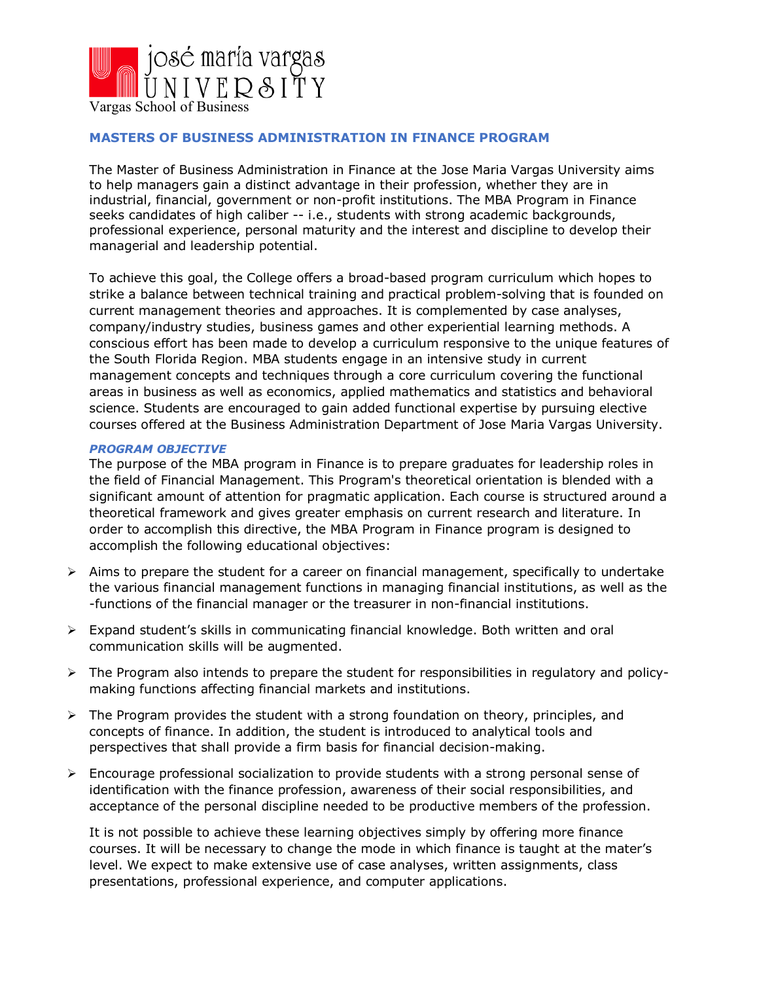

# **MASTERS OF BUSINESS ADMINISTRATION IN FINANCE PROGRAM**

The Master of Business Administration in Finance at the Jose Maria Vargas University aims to help managers gain a distinct advantage in their profession, whether they are in industrial, financial, government or non-profit institutions. The MBA Program in Finance seeks candidates of high caliber -- i.e., students with strong academic backgrounds, professional experience, personal maturity and the interest and discipline to develop their managerial and leadership potential.

To achieve this goal, the College offers a broad-based program curriculum which hopes to strike a balance between technical training and practical problem-solving that is founded on current management theories and approaches. It is complemented by case analyses, company/industry studies, business games and other experiential learning methods. A conscious effort has been made to develop a curriculum responsive to the unique features of the South Florida Region. MBA students engage in an intensive study in current management concepts and techniques through a core curriculum covering the functional areas in business as well as economics, applied mathematics and statistics and behavioral science. Students are encouraged to gain added functional expertise by pursuing elective courses offered at the Business Administration Department of Jose Maria Vargas University.

### *PROGRAM OBJECTIVE*

The purpose of the MBA program in Finance is to prepare graduates for leadership roles in the field of Financial Management. This Program's theoretical orientation is blended with a significant amount of attention for pragmatic application. Each course is structured around a theoretical framework and gives greater emphasis on current research and literature. In order to accomplish this directive, the MBA Program in Finance program is designed to accomplish the following educational objectives:

- $\triangleright$  Aims to prepare the student for a career on financial management, specifically to undertake the various financial management functions in managing financial institutions, as well as the -functions of the financial manager or the treasurer in non-financial institutions.
- $\triangleright$  Expand student's skills in communicating financial knowledge. Both written and oral communication skills will be augmented.
- Ø The Program also intends to prepare the student for responsibilities in regulatory and policymaking functions affecting financial markets and institutions.
- $\triangleright$  The Program provides the student with a strong foundation on theory, principles, and concepts of finance. In addition, the student is introduced to analytical tools and perspectives that shall provide a firm basis for financial decision-making.
- $\triangleright$  Encourage professional socialization to provide students with a strong personal sense of identification with the finance profession, awareness of their social responsibilities, and acceptance of the personal discipline needed to be productive members of the profession.

It is not possible to achieve these learning objectives simply by offering more finance courses. It will be necessary to change the mode in which finance is taught at the mater's level. We expect to make extensive use of case analyses, written assignments, class presentations, professional experience, and computer applications.